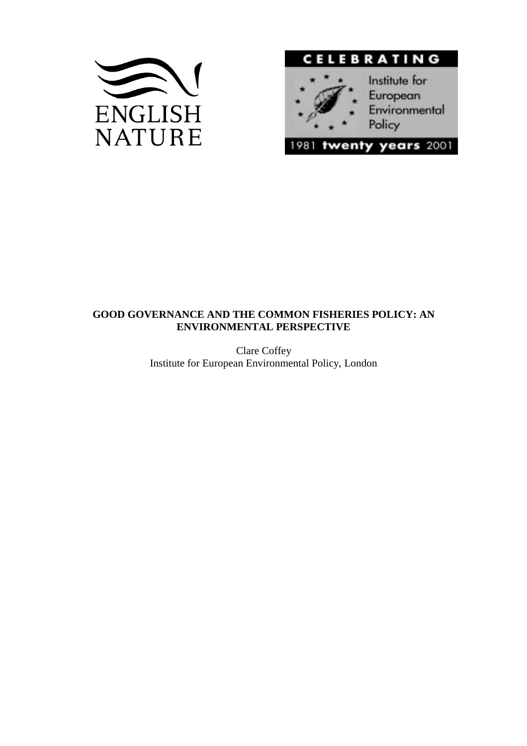



# **GOOD GOVERNANCE AND THE COMMON FISHERIES POLICY: AN ENVIRONMENTAL PERSPECTIVE**

Clare Coffey Institute for European Environmental Policy, London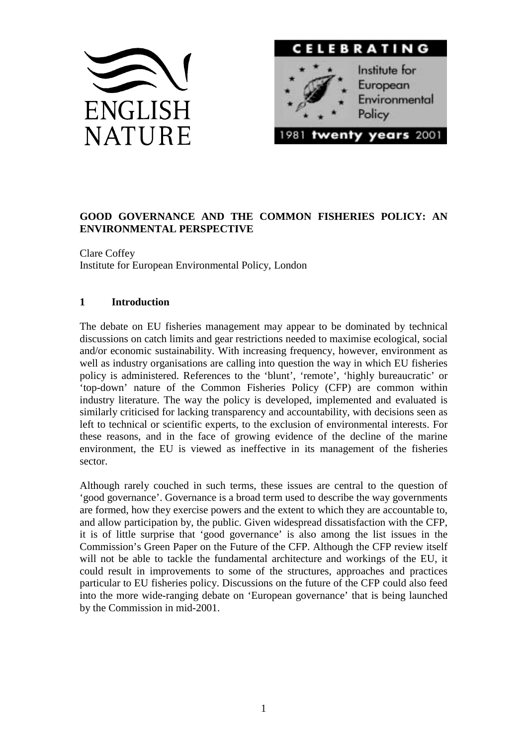



# **GOOD GOVERNANCE AND THE COMMON FISHERIES POLICY: AN ENVIRONMENTAL PERSPECTIVE**

Clare Coffey Institute for European Environmental Policy, London

# **1 Introduction**

The debate on EU fisheries management may appear to be dominated by technical discussions on catch limits and gear restrictions needed to maximise ecological, social and/or economic sustainability. With increasing frequency, however, environment as well as industry organisations are calling into question the way in which EU fisheries policy is administered. References to the 'blunt', 'remote', 'highly bureaucratic' or 'top-down' nature of the Common Fisheries Policy (CFP) are common within industry literature. The way the policy is developed, implemented and evaluated is similarly criticised for lacking transparency and accountability, with decisions seen as left to technical or scientific experts, to the exclusion of environmental interests. For these reasons, and in the face of growing evidence of the decline of the marine environment, the EU is viewed as ineffective in its management of the fisheries sector.

Although rarely couched in such terms, these issues are central to the question of 'good governance'. Governance is a broad term used to describe the way governments are formed, how they exercise powers and the extent to which they are accountable to, and allow participation by, the public. Given widespread dissatisfaction with the CFP, it is of little surprise that 'good governance' is also among the list issues in the Commission's Green Paper on the Future of the CFP. Although the CFP review itself will not be able to tackle the fundamental architecture and workings of the EU, it could result in improvements to some of the structures, approaches and practices particular to EU fisheries policy. Discussions on the future of the CFP could also feed into the more wide-ranging debate on 'European governance' that is being launched by the Commission in mid-2001.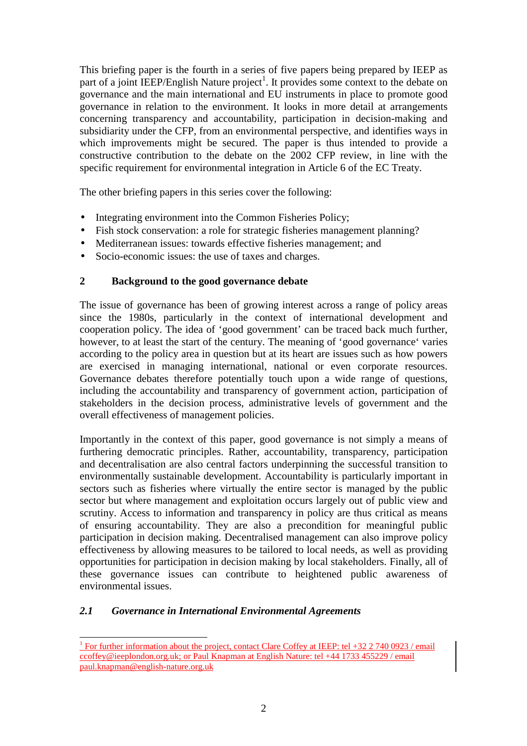This briefing paper is the fourth in a series of five papers being prepared by IEEP as part of a joint IEEP/English Nature project<sup>1</sup>. It provides some context to the debate on governance and the main international and EU instruments in place to promote good governance in relation to the environment. It looks in more detail at arrangements concerning transparency and accountability, participation in decision-making and subsidiarity under the CFP, from an environmental perspective, and identifies ways in which improvements might be secured. The paper is thus intended to provide a constructive contribution to the debate on the 2002 CFP review, in line with the specific requirement for environmental integration in Article 6 of the EC Treaty.

The other briefing papers in this series cover the following:

- Integrating environment into the Common Fisheries Policy;
- Fish stock conservation: a role for strategic fisheries management planning?
- Mediterranean issues: towards effective fisheries management; and
- Socio-economic issues: the use of taxes and charges.

# **2 Background to the good governance debate**

The issue of governance has been of growing interest across a range of policy areas since the 1980s, particularly in the context of international development and cooperation policy. The idea of 'good government' can be traced back much further, however, to at least the start of the century. The meaning of 'good governance' varies according to the policy area in question but at its heart are issues such as how powers are exercised in managing international, national or even corporate resources. Governance debates therefore potentially touch upon a wide range of questions, including the accountability and transparency of government action, participation of stakeholders in the decision process, administrative levels of government and the overall effectiveness of management policies.

Importantly in the context of this paper, good governance is not simply a means of furthering democratic principles. Rather, accountability, transparency, participation and decentralisation are also central factors underpinning the successful transition to environmentally sustainable development. Accountability is particularly important in sectors such as fisheries where virtually the entire sector is managed by the public sector but where management and exploitation occurs largely out of public view and scrutiny. Access to information and transparency in policy are thus critical as means of ensuring accountability. They are also a precondition for meaningful public participation in decision making. Decentralised management can also improve policy effectiveness by allowing measures to be tailored to local needs, as well as providing opportunities for participation in decision making by local stakeholders. Finally, all of these governance issues can contribute to heightened public awareness of environmental issues.

# *2.1 Governance in International Environmental Agreements*

<sup>&</sup>lt;sup>1</sup> For further information about the project, contact Clare Coffey at IEEP: tel +32 2 740 0923 / email ccoffey@ieeplondon.org.uk; or Paul Knapman at English Nature: tel +44 1733 455229 / email paul.knapman@english-nature.org.uk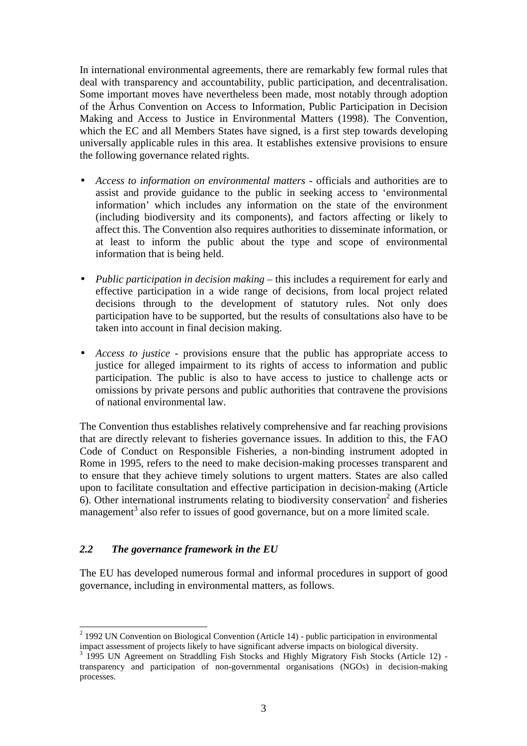In international environmental agreements, there are remarkably few formal rules that deal with transparency and accountability, public participation, and decentralisation. Some important moves have nevertheless been made, most notably through adoption of the Århus Convention on Access to Information, Public Participation in Decision Making and Access to Justice in Environmental Matters (1998). The Convention, which the EC and all Members States have signed, is a first step towards developing universally applicable rules in this area. It establishes extensive provisions to ensure the following governance related rights.

- *Access to information on environmental matters* officials and authorities are to assist and provide guidance to the public in seeking access to 'environmental information' which includes any information on the state of the environment (including biodiversity and its components), and factors affecting or likely to affect this. The Convention also requires authorities to disseminate information, or at least to inform the public about the type and scope of environmental information that is being held.
- *Public participation in decision making* this includes a requirement for early and effective participation in a wide range of decisions, from local project related decisions through to the development of statutory rules. Not only does participation have to be supported, but the results of consultations also have to be taken into account in final decision making.
- *Access to justice* provisions ensure that the public has appropriate access to justice for alleged impairment to its rights of access to information and public participation. The public is also to have access to justice to challenge acts or omissions by private persons and public authorities that contravene the provisions of national environmental law.

The Convention thus establishes relatively comprehensive and far reaching provisions that are directly relevant to fisheries governance issues. In addition to this, the FAO Code of Conduct on Responsible Fisheries, a non-binding instrument adopted in Rome in 1995, refers to the need to make decision-making processes transparent and to ensure that they achieve timely solutions to urgent matters. States are also called upon to facilitate consultation and effective participation in decision-making (Article  $6$ ). Other international instruments relating to biodiversity conservation<sup>2</sup> and fisheries management<sup>3</sup> also refer to issues of good governance, but on a more limited scale.

# *2.2 The governance framework in the EU*

The EU has developed numerous formal and informal procedures in support of good governance, including in environmental matters, as follows.

<sup>&</sup>lt;sup>2</sup> 1992 UN Convention on Biological Convention (Article 14) - public participation in environmental impact assessment of projects likely to have significant adverse impacts on biological diversity.

<sup>&</sup>lt;sup>3</sup> 1995 UN Agreement on Straddling Fish Stocks and Highly Migratory Fish Stocks (Article 12) transparency and participation of non-governmental organisations (NGOs) in decision-making processes.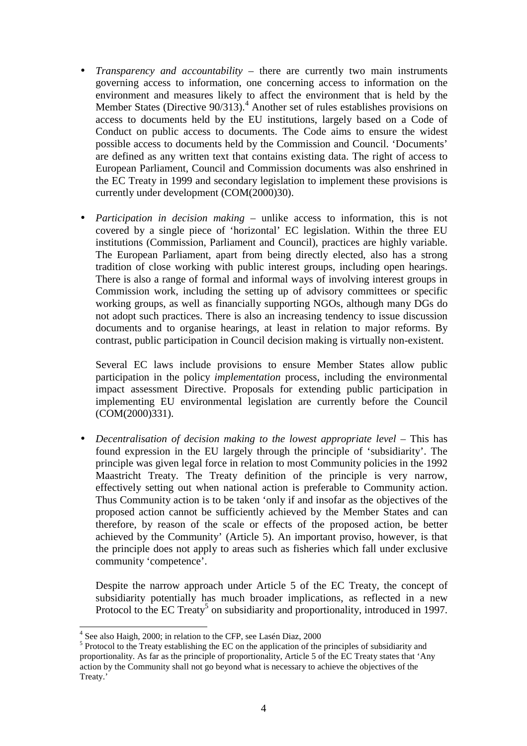- *Transparency and accountability* there are currently two main instruments governing access to information, one concerning access to information on the environment and measures likely to affect the environment that is held by the Member States (Directive  $90/313$ ).<sup>4</sup> Another set of rules establishes provisions on access to documents held by the EU institutions, largely based on a Code of Conduct on public access to documents. The Code aims to ensure the widest possible access to documents held by the Commission and Council. 'Documents' are defined as any written text that contains existing data. The right of access to European Parliament, Council and Commission documents was also enshrined in the EC Treaty in 1999 and secondary legislation to implement these provisions is currently under development (COM(2000)30).
- *Participation in decision making* unlike access to information, this is not covered by a single piece of 'horizontal' EC legislation. Within the three EU institutions (Commission, Parliament and Council), practices are highly variable. The European Parliament, apart from being directly elected, also has a strong tradition of close working with public interest groups, including open hearings. There is also a range of formal and informal ways of involving interest groups in Commission work, including the setting up of advisory committees or specific working groups, as well as financially supporting NGOs, although many DGs do not adopt such practices. There is also an increasing tendency to issue discussion documents and to organise hearings, at least in relation to major reforms. By contrast, public participation in Council decision making is virtually non-existent.

Several EC laws include provisions to ensure Member States allow public participation in the policy *implementation* process, including the environmental impact assessment Directive. Proposals for extending public participation in implementing EU environmental legislation are currently before the Council (COM(2000)331).

• *Decentralisation of decision making to the lowest appropriate level* – This has found expression in the EU largely through the principle of 'subsidiarity'. The principle was given legal force in relation to most Community policies in the 1992 Maastricht Treaty. The Treaty definition of the principle is very narrow, effectively setting out when national action is preferable to Community action. Thus Community action is to be taken 'only if and insofar as the objectives of the proposed action cannot be sufficiently achieved by the Member States and can therefore, by reason of the scale or effects of the proposed action, be better achieved by the Community' (Article 5). An important proviso, however, is that the principle does not apply to areas such as fisheries which fall under exclusive community 'competence'.

Despite the narrow approach under Article 5 of the EC Treaty, the concept of subsidiarity potentially has much broader implications, as reflected in a new Protocol to the EC Treaty<sup>5</sup> on subsidiarity and proportionality, introduced in 1997.

 4 See also Haigh, 2000; in relation to the CFP, see Lasén Diaz, 2000

<sup>&</sup>lt;sup>5</sup> Protocol to the Treaty establishing the EC on the application of the principles of subsidiarity and proportionality. As far as the principle of proportionality, Article 5 of the EC Treaty states that 'Any action by the Community shall not go beyond what is necessary to achieve the objectives of the Treaty.'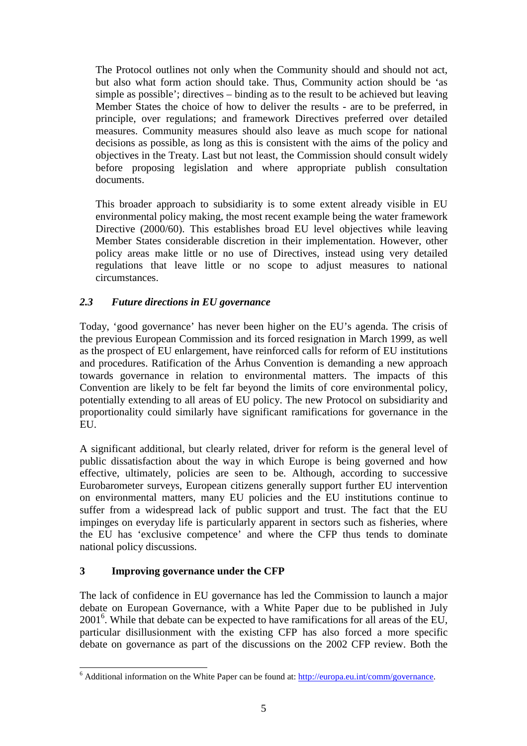The Protocol outlines not only when the Community should and should not act, but also what form action should take. Thus, Community action should be 'as simple as possible'; directives – binding as to the result to be achieved but leaving Member States the choice of how to deliver the results - are to be preferred, in principle, over regulations; and framework Directives preferred over detailed measures. Community measures should also leave as much scope for national decisions as possible, as long as this is consistent with the aims of the policy and objectives in the Treaty. Last but not least, the Commission should consult widely before proposing legislation and where appropriate publish consultation documents.

This broader approach to subsidiarity is to some extent already visible in EU environmental policy making, the most recent example being the water framework Directive (2000/60). This establishes broad EU level objectives while leaving Member States considerable discretion in their implementation. However, other policy areas make little or no use of Directives, instead using very detailed regulations that leave little or no scope to adjust measures to national circumstances.

# *2.3 Future directions in EU governance*

Today, 'good governance' has never been higher on the EU's agenda. The crisis of the previous European Commission and its forced resignation in March 1999, as well as the prospect of EU enlargement, have reinforced calls for reform of EU institutions and procedures. Ratification of the Århus Convention is demanding a new approach towards governance in relation to environmental matters. The impacts of this Convention are likely to be felt far beyond the limits of core environmental policy, potentially extending to all areas of EU policy. The new Protocol on subsidiarity and proportionality could similarly have significant ramifications for governance in the EU.

A significant additional, but clearly related, driver for reform is the general level of public dissatisfaction about the way in which Europe is being governed and how effective, ultimately, policies are seen to be. Although, according to successive Eurobarometer surveys, European citizens generally support further EU intervention on environmental matters, many EU policies and the EU institutions continue to suffer from a widespread lack of public support and trust. The fact that the EU impinges on everyday life is particularly apparent in sectors such as fisheries, where the EU has 'exclusive competence' and where the CFP thus tends to dominate national policy discussions.

# **3 Improving governance under the CFP**

The lack of confidence in EU governance has led the Commission to launch a major debate on European Governance, with a White Paper due to be published in July 2001<sup>6</sup>. While that debate can be expected to have ramifications for all areas of the EU, particular disillusionment with the existing CFP has also forced a more specific debate on governance as part of the discussions on the 2002 CFP review. Both the

 $\overline{a}$ <sup>6</sup> Additional information on the White Paper can be found at:  $\frac{http://europa.eu.int/comm/governance.}$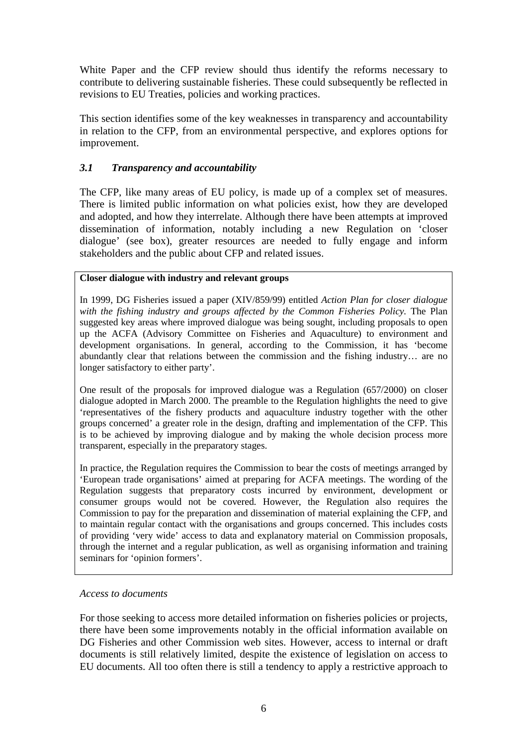White Paper and the CFP review should thus identify the reforms necessary to contribute to delivering sustainable fisheries. These could subsequently be reflected in revisions to EU Treaties, policies and working practices.

This section identifies some of the key weaknesses in transparency and accountability in relation to the CFP, from an environmental perspective, and explores options for improvement.

# *3.1 Transparency and accountability*

The CFP, like many areas of EU policy, is made up of a complex set of measures. There is limited public information on what policies exist, how they are developed and adopted, and how they interrelate. Although there have been attempts at improved dissemination of information, notably including a new Regulation on 'closer dialogue' (see box), greater resources are needed to fully engage and inform stakeholders and the public about CFP and related issues.

### **Closer dialogue with industry and relevant groups**

In 1999, DG Fisheries issued a paper (XIV/859/99) entitled *Action Plan for closer dialogue* with the fishing industry and groups affected by the Common Fisheries Policy. The Plan suggested key areas where improved dialogue was being sought, including proposals to open up the ACFA (Advisory Committee on Fisheries and Aquaculture) to environment and development organisations. In general, according to the Commission, it has 'become abundantly clear that relations between the commission and the fishing industry… are no longer satisfactory to either party'.

One result of the proposals for improved dialogue was a Regulation (657/2000) on closer dialogue adopted in March 2000. The preamble to the Regulation highlights the need to give 'representatives of the fishery products and aquaculture industry together with the other groups concerned' a greater role in the design, drafting and implementation of the CFP. This is to be achieved by improving dialogue and by making the whole decision process more transparent, especially in the preparatory stages.

In practice, the Regulation requires the Commission to bear the costs of meetings arranged by 'European trade organisations' aimed at preparing for ACFA meetings. The wording of the Regulation suggests that preparatory costs incurred by environment, development or consumer groups would not be covered. However, the Regulation also requires the Commission to pay for the preparation and dissemination of material explaining the CFP, and to maintain regular contact with the organisations and groups concerned. This includes costs of providing 'very wide' access to data and explanatory material on Commission proposals, through the internet and a regular publication, as well as organising information and training seminars for 'opinion formers'.

#### *Access to documents*

For those seeking to access more detailed information on fisheries policies or projects, there have been some improvements notably in the official information available on DG Fisheries and other Commission web sites. However, access to internal or draft documents is still relatively limited, despite the existence of legislation on access to EU documents. All too often there is still a tendency to apply a restrictive approach to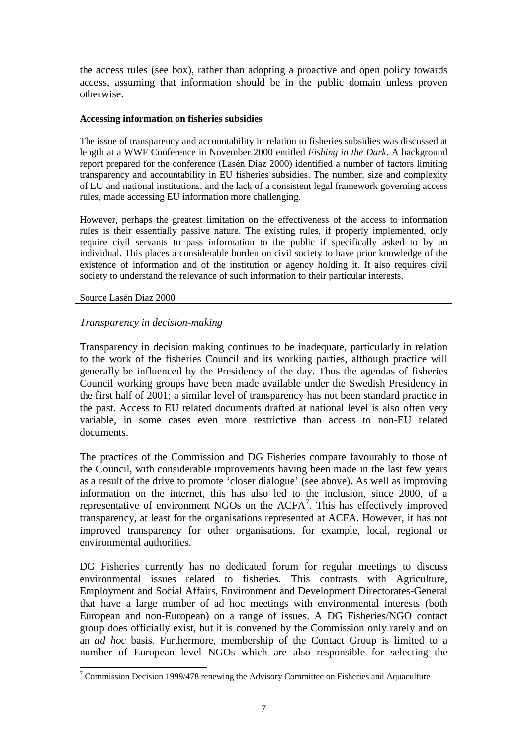the access rules (see box), rather than adopting a proactive and open policy towards access, assuming that information should be in the public domain unless proven otherwise.

#### **Accessing information on fisheries subsidies**

The issue of transparency and accountability in relation to fisheries subsidies was discussed at length at a WWF Conference in November 2000 entitled *Fishing in the Dark*. A background report prepared for the conference (Lasén Diaz 2000) identified a number of factors limiting transparency and accountability in EU fisheries subsidies. The number, size and complexity of EU and national institutions, and the lack of a consistent legal framework governing access rules, made accessing EU information more challenging.

However, perhaps the greatest limitation on the effectiveness of the access to information rules is their essentially passive nature. The existing rules, if properly implemented, only require civil servants to pass information to the public if specifically asked to by an individual. This places a considerable burden on civil society to have prior knowledge of the existence of information and of the institution or agency holding it. It also requires civil society to understand the relevance of such information to their particular interests.

Source Lasén Diaz 2000

# *Transparency in decision-making*

Transparency in decision making continues to be inadequate, particularly in relation to the work of the fisheries Council and its working parties, although practice will generally be influenced by the Presidency of the day. Thus the agendas of fisheries Council working groups have been made available under the Swedish Presidency in the first half of 2001; a similar level of transparency has not been standard practice in the past. Access to EU related documents drafted at national level is also often very variable, in some cases even more restrictive than access to non-EU related documents.

The practices of the Commission and DG Fisheries compare favourably to those of the Council, with considerable improvements having been made in the last few years as a result of the drive to promote 'closer dialogue' (see above). As well as improving information on the internet, this has also led to the inclusion, since 2000, of a representative of environment NGOs on the  $ACFA<sup>7</sup>$ . This has effectively improved transparency, at least for the organisations represented at ACFA. However, it has not improved transparency for other organisations, for example, local, regional or environmental authorities.

DG Fisheries currently has no dedicated forum for regular meetings to discuss environmental issues related to fisheries. This contrasts with Agriculture, Employment and Social Affairs, Environment and Development Directorates-General that have a large number of ad hoc meetings with environmental interests (both European and non-European) on a range of issues. A DG Fisheries/NGO contact group does officially exist, but it is convened by the Commission only rarely and on an *ad hoc* basis*.* Furthermore, membership of the Contact Group is limited to a number of European level NGOs which are also responsible for selecting the

 $\overline{a}$  $7$  Commission Decision 1999/478 renewing the Advisory Committee on Fisheries and Aquaculture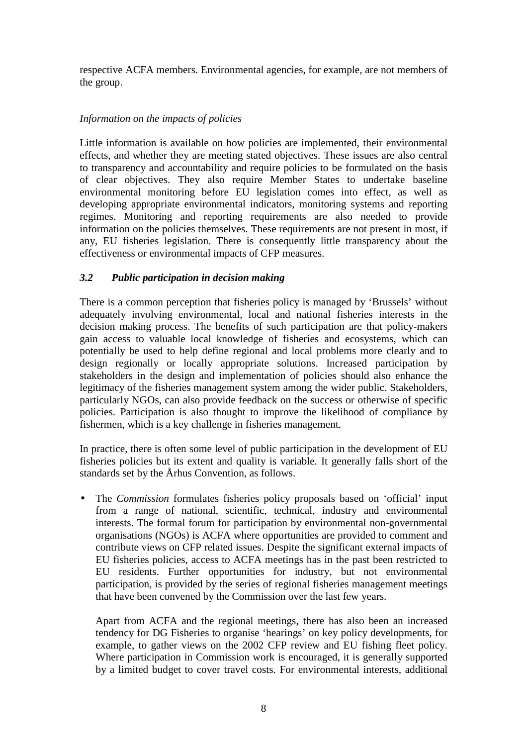respective ACFA members. Environmental agencies, for example, are not members of the group.

# *Information on the impacts of policies*

Little information is available on how policies are implemented, their environmental effects, and whether they are meeting stated objectives. These issues are also central to transparency and accountability and require policies to be formulated on the basis of clear objectives. They also require Member States to undertake baseline environmental monitoring before EU legislation comes into effect, as well as developing appropriate environmental indicators, monitoring systems and reporting regimes. Monitoring and reporting requirements are also needed to provide information on the policies themselves. These requirements are not present in most, if any, EU fisheries legislation. There is consequently little transparency about the effectiveness or environmental impacts of CFP measures.

# *3.2 Public participation in decision making*

There is a common perception that fisheries policy is managed by 'Brussels' without adequately involving environmental, local and national fisheries interests in the decision making process. The benefits of such participation are that policy-makers gain access to valuable local knowledge of fisheries and ecosystems, which can potentially be used to help define regional and local problems more clearly and to design regionally or locally appropriate solutions. Increased participation by stakeholders in the design and implementation of policies should also enhance the legitimacy of the fisheries management system among the wider public. Stakeholders, particularly NGOs, can also provide feedback on the success or otherwise of specific policies. Participation is also thought to improve the likelihood of compliance by fishermen, which is a key challenge in fisheries management.

In practice, there is often some level of public participation in the development of EU fisheries policies but its extent and quality is variable. It generally falls short of the standards set by the Århus Convention, as follows.

• The *Commission* formulates fisheries policy proposals based on 'official' input from a range of national, scientific, technical, industry and environmental interests. The formal forum for participation by environmental non-governmental organisations (NGOs) is ACFA where opportunities are provided to comment and contribute views on CFP related issues. Despite the significant external impacts of EU fisheries policies, access to ACFA meetings has in the past been restricted to EU residents. Further opportunities for industry, but not environmental participation, is provided by the series of regional fisheries management meetings that have been convened by the Commission over the last few years.

Apart from ACFA and the regional meetings, there has also been an increased tendency for DG Fisheries to organise 'hearings' on key policy developments, for example, to gather views on the 2002 CFP review and EU fishing fleet policy. Where participation in Commission work is encouraged, it is generally supported by a limited budget to cover travel costs. For environmental interests, additional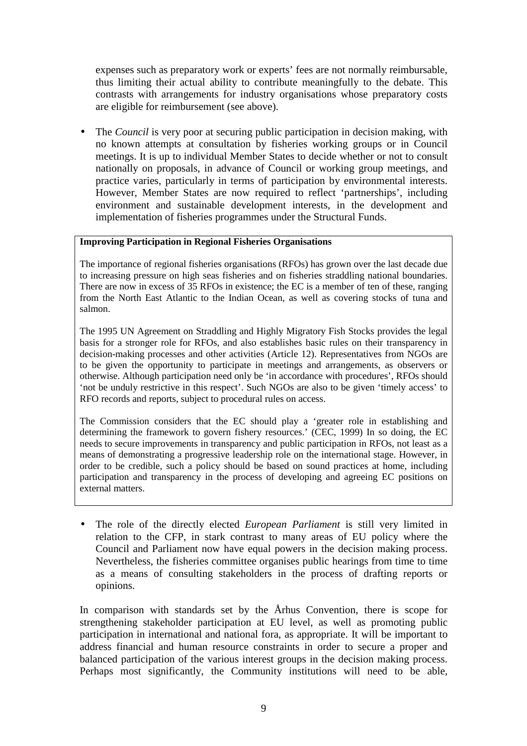expenses such as preparatory work or experts' fees are not normally reimbursable, thus limiting their actual ability to contribute meaningfully to the debate. This contrasts with arrangements for industry organisations whose preparatory costs are eligible for reimbursement (see above).

• The *Council* is very poor at securing public participation in decision making, with no known attempts at consultation by fisheries working groups or in Council meetings. It is up to individual Member States to decide whether or not to consult nationally on proposals, in advance of Council or working group meetings, and practice varies, particularly in terms of participation by environmental interests. However, Member States are now required to reflect 'partnerships', including environment and sustainable development interests, in the development and implementation of fisheries programmes under the Structural Funds.

#### **Improving Participation in Regional Fisheries Organisations**

The importance of regional fisheries organisations (RFOs) has grown over the last decade due to increasing pressure on high seas fisheries and on fisheries straddling national boundaries. There are now in excess of 35 RFOs in existence; the EC is a member of ten of these, ranging from the North East Atlantic to the Indian Ocean, as well as covering stocks of tuna and salmon.

The 1995 UN Agreement on Straddling and Highly Migratory Fish Stocks provides the legal basis for a stronger role for RFOs, and also establishes basic rules on their transparency in decision-making processes and other activities (Article 12). Representatives from NGOs are to be given the opportunity to participate in meetings and arrangements, as observers or otherwise. Although participation need only be 'in accordance with procedures', RFOs should 'not be unduly restrictive in this respect'. Such NGOs are also to be given 'timely access' to RFO records and reports, subject to procedural rules on access.

The Commission considers that the EC should play a 'greater role in establishing and determining the framework to govern fishery resources.' (CEC, 1999) In so doing, the EC needs to secure improvements in transparency and public participation in RFOs, not least as a means of demonstrating a progressive leadership role on the international stage. However, in order to be credible, such a policy should be based on sound practices at home, including participation and transparency in the process of developing and agreeing EC positions on external matters.

• The role of the directly elected *European Parliament* is still very limited in relation to the CFP, in stark contrast to many areas of EU policy where the Council and Parliament now have equal powers in the decision making process. Nevertheless, the fisheries committee organises public hearings from time to time as a means of consulting stakeholders in the process of drafting reports or opinions.

In comparison with standards set by the Århus Convention, there is scope for strengthening stakeholder participation at EU level, as well as promoting public participation in international and national fora, as appropriate. It will be important to address financial and human resource constraints in order to secure a proper and balanced participation of the various interest groups in the decision making process. Perhaps most significantly, the Community institutions will need to be able,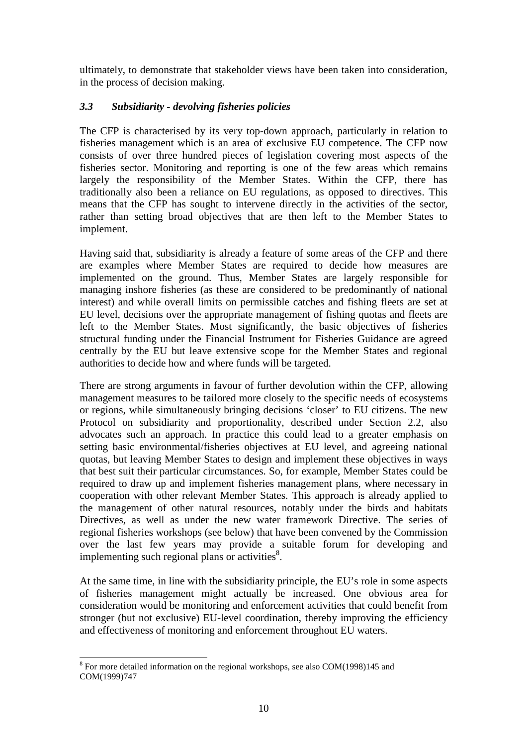ultimately, to demonstrate that stakeholder views have been taken into consideration, in the process of decision making.

# *3.3 Subsidiarity - devolving fisheries policies*

The CFP is characterised by its very top-down approach, particularly in relation to fisheries management which is an area of exclusive EU competence. The CFP now consists of over three hundred pieces of legislation covering most aspects of the fisheries sector. Monitoring and reporting is one of the few areas which remains largely the responsibility of the Member States. Within the CFP, there has traditionally also been a reliance on EU regulations, as opposed to directives. This means that the CFP has sought to intervene directly in the activities of the sector, rather than setting broad objectives that are then left to the Member States to implement.

Having said that, subsidiarity is already a feature of some areas of the CFP and there are examples where Member States are required to decide how measures are implemented on the ground. Thus, Member States are largely responsible for managing inshore fisheries (as these are considered to be predominantly of national interest) and while overall limits on permissible catches and fishing fleets are set at EU level, decisions over the appropriate management of fishing quotas and fleets are left to the Member States. Most significantly, the basic objectives of fisheries structural funding under the Financial Instrument for Fisheries Guidance are agreed centrally by the EU but leave extensive scope for the Member States and regional authorities to decide how and where funds will be targeted.

There are strong arguments in favour of further devolution within the CFP, allowing management measures to be tailored more closely to the specific needs of ecosystems or regions, while simultaneously bringing decisions 'closer' to EU citizens. The new Protocol on subsidiarity and proportionality, described under Section 2.2, also advocates such an approach. In practice this could lead to a greater emphasis on setting basic environmental/fisheries objectives at EU level, and agreeing national quotas, but leaving Member States to design and implement these objectives in ways that best suit their particular circumstances. So, for example, Member States could be required to draw up and implement fisheries management plans, where necessary in cooperation with other relevant Member States. This approach is already applied to the management of other natural resources, notably under the birds and habitats Directives, as well as under the new water framework Directive. The series of regional fisheries workshops (see below) that have been convened by the Commission over the last few years may provide a suitable forum for developing and implementing such regional plans or activities $8$ .

At the same time, in line with the subsidiarity principle, the EU's role in some aspects of fisheries management might actually be increased. One obvious area for consideration would be monitoring and enforcement activities that could benefit from stronger (but not exclusive) EU-level coordination, thereby improving the efficiency and effectiveness of monitoring and enforcement throughout EU waters.

 $\overline{a}$  $8$  For more detailed information on the regional workshops, see also COM(1998)145 and COM(1999)747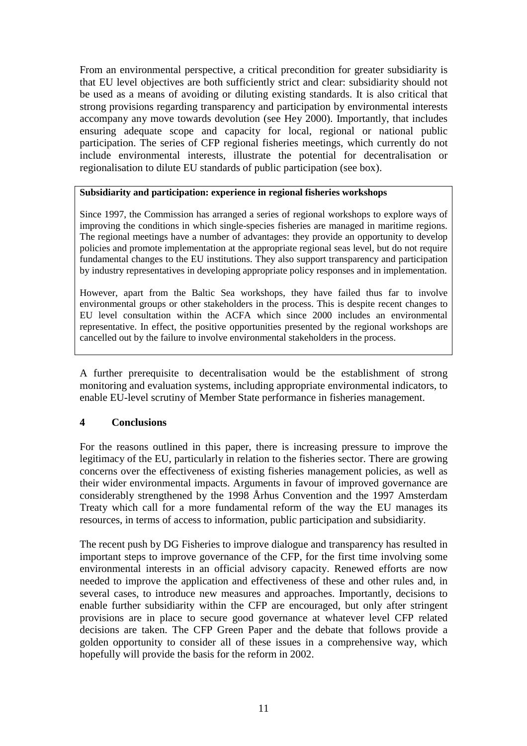From an environmental perspective, a critical precondition for greater subsidiarity is that EU level objectives are both sufficiently strict and clear: subsidiarity should not be used as a means of avoiding or diluting existing standards. It is also critical that strong provisions regarding transparency and participation by environmental interests accompany any move towards devolution (see Hey 2000). Importantly, that includes ensuring adequate scope and capacity for local, regional or national public participation. The series of CFP regional fisheries meetings, which currently do not include environmental interests, illustrate the potential for decentralisation or regionalisation to dilute EU standards of public participation (see box).

#### **Subsidiarity and participation: experience in regional fisheries workshops**

Since 1997, the Commission has arranged a series of regional workshops to explore ways of improving the conditions in which single-species fisheries are managed in maritime regions. The regional meetings have a number of advantages: they provide an opportunity to develop policies and promote implementation at the appropriate regional seas level, but do not require fundamental changes to the EU institutions. They also support transparency and participation by industry representatives in developing appropriate policy responses and in implementation.

However, apart from the Baltic Sea workshops, they have failed thus far to involve environmental groups or other stakeholders in the process. This is despite recent changes to EU level consultation within the ACFA which since 2000 includes an environmental representative. In effect, the positive opportunities presented by the regional workshops are cancelled out by the failure to involve environmental stakeholders in the process.

A further prerequisite to decentralisation would be the establishment of strong monitoring and evaluation systems, including appropriate environmental indicators, to enable EU-level scrutiny of Member State performance in fisheries management.

#### **4 Conclusions**

For the reasons outlined in this paper, there is increasing pressure to improve the legitimacy of the EU, particularly in relation to the fisheries sector. There are growing concerns over the effectiveness of existing fisheries management policies, as well as their wider environmental impacts. Arguments in favour of improved governance are considerably strengthened by the 1998 Århus Convention and the 1997 Amsterdam Treaty which call for a more fundamental reform of the way the EU manages its resources, in terms of access to information, public participation and subsidiarity.

The recent push by DG Fisheries to improve dialogue and transparency has resulted in important steps to improve governance of the CFP, for the first time involving some environmental interests in an official advisory capacity. Renewed efforts are now needed to improve the application and effectiveness of these and other rules and, in several cases, to introduce new measures and approaches. Importantly, decisions to enable further subsidiarity within the CFP are encouraged, but only after stringent provisions are in place to secure good governance at whatever level CFP related decisions are taken. The CFP Green Paper and the debate that follows provide a golden opportunity to consider all of these issues in a comprehensive way, which hopefully will provide the basis for the reform in 2002.